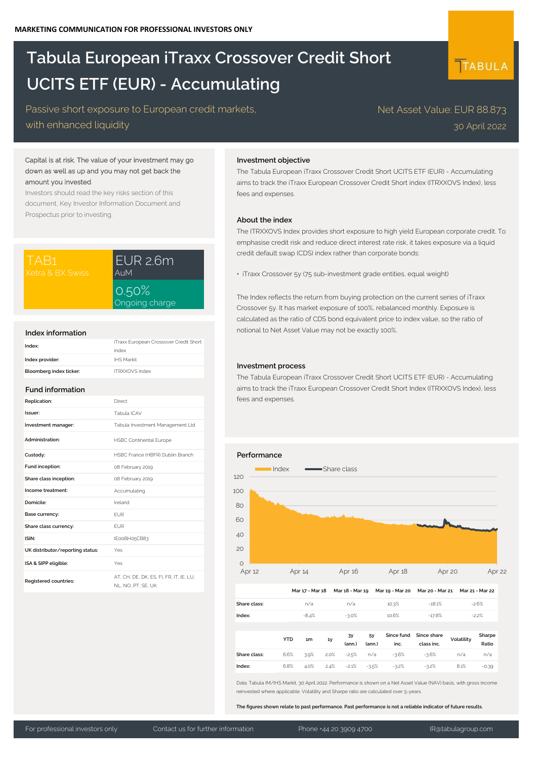# **Tabula European iTraxx Crossover Credit Short UCITS ETF (EUR) - Accumulating**

Passive short exposure to European credit markets, with enhanced liquidity

# Capital is at risk. The value of your investment may go down as well as up and you may not get back the amount you invested.

Investors should read the key risks section of this document, Key Investor Information Document and Prospectus prior to investing.

| TAB1             | EUR 2.6m                |
|------------------|-------------------------|
| Xetra & BX Swiss | AuM                     |
|                  | $\cap$ $\cap$ $\circ$ / |

| EUR 2.6m<br>AuM         |
|-------------------------|
| 0.50%<br>Ongoing charge |

# **Index information**

| Index:                  | iTraxx European Crossover Credit Short |
|-------------------------|----------------------------------------|
|                         | index                                  |
| Index provider:         | <b>IHS Markit</b>                      |
| Bloomberg index ticker: | <b>ITRXXOVS Index</b>                  |

## **Fund information**

| Replication:                     | Direct                                                        |
|----------------------------------|---------------------------------------------------------------|
| Issuer:                          | Tabula ICAV                                                   |
| Investment manager:              | Tabula Investment Management Ltd                              |
| Administration:                  | <b>HSBC Continental Europe</b>                                |
| Custody:                         | HSBC France (HBFR) Dublin Branch                              |
| Fund inception:                  | 08 February 2019                                              |
| Share class inception:           | 08 February 2019                                              |
| Income treatment:                | Accumulating                                                  |
| Domicile:                        | Ireland                                                       |
| Base currency:                   | <b>FUR</b>                                                    |
| Share class currency:            | <b>FUR</b>                                                    |
| ISIN·                            | IE00BH05CB83                                                  |
| UK distributor/reporting status: | Yes                                                           |
| ISA & SIPP eligible:             | Yes                                                           |
| Registered countries:            | AT, CH, DE, DK, ES, FI, FR, IT, IE, LU,<br>NL. NO. PT. SE. UK |

## **Investment objective**

The Tabula European iTraxx Crossover Credit Short UCITS ETF (EUR) - Accumulating aims to track the iTraxx European Crossover Credit Short index (ITRXXOVS Index), less fees and expenses.

#### **About the index**

The ITRXXOVS Index provides short exposure to high yield European corporate credit. To emphasise credit risk and reduce direct interest rate risk, it takes exposure via a liquid credit default swap (CDS) index rather than corporate bonds:

• iTraxx Crossover 5y (75 sub-investment grade entities, equal weight)

The Index reflects the return from buying protection on the current series of iTraxx Crossover 5y. It has market exposure of 100%, rebalanced monthly. Exposure is calculated as the ratio of CDS bond equivalent price to index value, so the ratio of notional to Net Asset Value may not be exactly 100%.

# **Investment process**

The Tabula European iTraxx Crossover Credit Short UCITS ETF (EUR) - Accumulating aims to track the iTraxx European Crossover Credit Short Index (ITRXXOVS Index), less fees and expenses.



Data: Tabula IM/IHS Markit, 30 April 2022. Performance is shown on a Net Asset Value (NAV) basis, with gross income reinvested where applicable. Volatility and Sharpe ratio are calculated over 5-years.

**The figures shown relate to past performance. Past performance is not a reliable indicator of future results.**

**Distribution per share:** #N/A **Index:** 6.8% 4.0% 2.4% -2.1% -3.5% -3.2% -3.2% 8.1% -0.39

# TABULA

Net Asset Value: EUR 88.873 30 April 2022